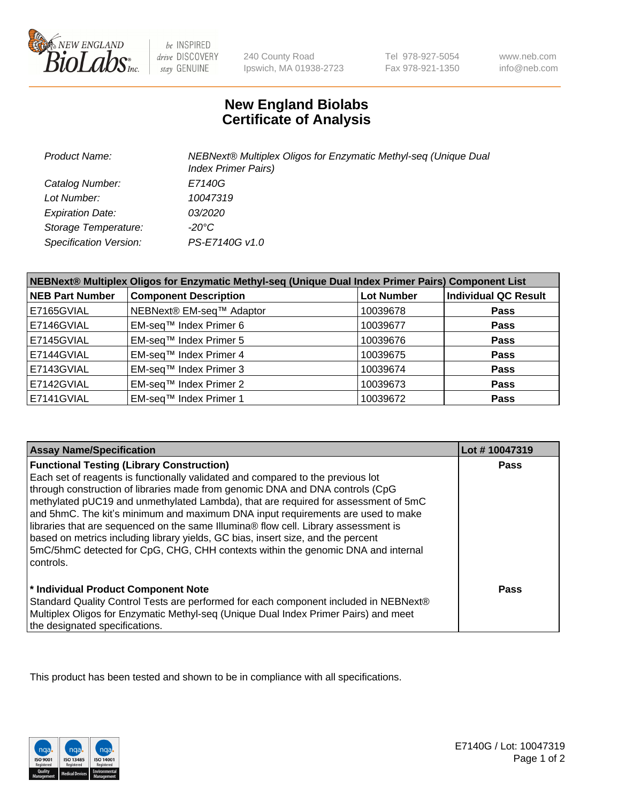

 $be$  INSPIRED drive DISCOVERY stay GENUINE

240 County Road Ipswich, MA 01938-2723 Tel 978-927-5054 Fax 978-921-1350

www.neb.com info@neb.com

## **New England Biolabs Certificate of Analysis**

| Product Name:           | NEBNext® Multiplex Oligos for Enzymatic Methyl-seq (Unique Dual<br><b>Index Primer Pairs)</b> |
|-------------------------|-----------------------------------------------------------------------------------------------|
| Catalog Number:         | E7140G                                                                                        |
| Lot Number:             | 10047319                                                                                      |
| <b>Expiration Date:</b> | <i>03/2020</i>                                                                                |
| Storage Temperature:    | -20°C                                                                                         |
| Specification Version:  | PS-E7140G v1.0                                                                                |

| NEBNext® Multiplex Oligos for Enzymatic Methyl-seq (Unique Dual Index Primer Pairs) Component List |                              |                   |                             |  |
|----------------------------------------------------------------------------------------------------|------------------------------|-------------------|-----------------------------|--|
| <b>NEB Part Number</b>                                                                             | <b>Component Description</b> | <b>Lot Number</b> | <b>Individual QC Result</b> |  |
| E7165GVIAL                                                                                         | NEBNext® EM-seq™ Adaptor     | 10039678          | <b>Pass</b>                 |  |
| E7146GVIAL                                                                                         | EM-seq™ Index Primer 6       | 10039677          | <b>Pass</b>                 |  |
| E7145GVIAL                                                                                         | EM-seq™ Index Primer 5       | 10039676          | <b>Pass</b>                 |  |
| E7144GVIAL                                                                                         | EM-seq™ Index Primer 4       | 10039675          | <b>Pass</b>                 |  |
| E7143GVIAL                                                                                         | EM-seq™ Index Primer 3       | 10039674          | <b>Pass</b>                 |  |
| E7142GVIAL                                                                                         | EM-seq™ Index Primer 2       | 10039673          | <b>Pass</b>                 |  |
| E7141GVIAL                                                                                         | EM-seq™ Index Primer 1       | 10039672          | <b>Pass</b>                 |  |

| <b>Assay Name/Specification</b>                                                      | Lot #10047319 |
|--------------------------------------------------------------------------------------|---------------|
| <b>Functional Testing (Library Construction)</b>                                     | <b>Pass</b>   |
| Each set of reagents is functionally validated and compared to the previous lot      |               |
| through construction of libraries made from genomic DNA and DNA controls (CpG        |               |
| methylated pUC19 and unmethylated Lambda), that are required for assessment of 5mC   |               |
| and 5hmC. The kit's minimum and maximum DNA input requirements are used to make      |               |
| libraries that are sequenced on the same Illumina® flow cell. Library assessment is  |               |
| based on metrics including library yields, GC bias, insert size, and the percent     |               |
| 5mC/5hmC detected for CpG, CHG, CHH contexts within the genomic DNA and internal     |               |
| l controls.                                                                          |               |
|                                                                                      |               |
| * Individual Product Component Note                                                  | Pass          |
| Standard Quality Control Tests are performed for each component included in NEBNext® |               |
| Multiplex Oligos for Enzymatic Methyl-seq (Unique Dual Index Primer Pairs) and meet  |               |
| the designated specifications.                                                       |               |

This product has been tested and shown to be in compliance with all specifications.